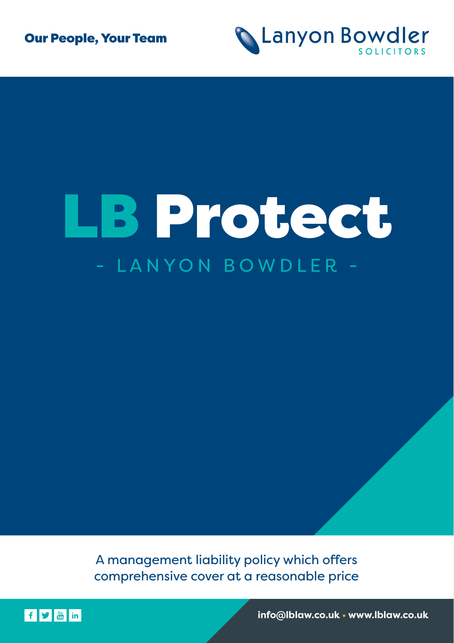



## LB Protect - LANYON BOWDLER -

A management liability policy which offers comprehensive cover at a reasonable price



**info@lblaw.co.uk • www.lblaw.co.uk**